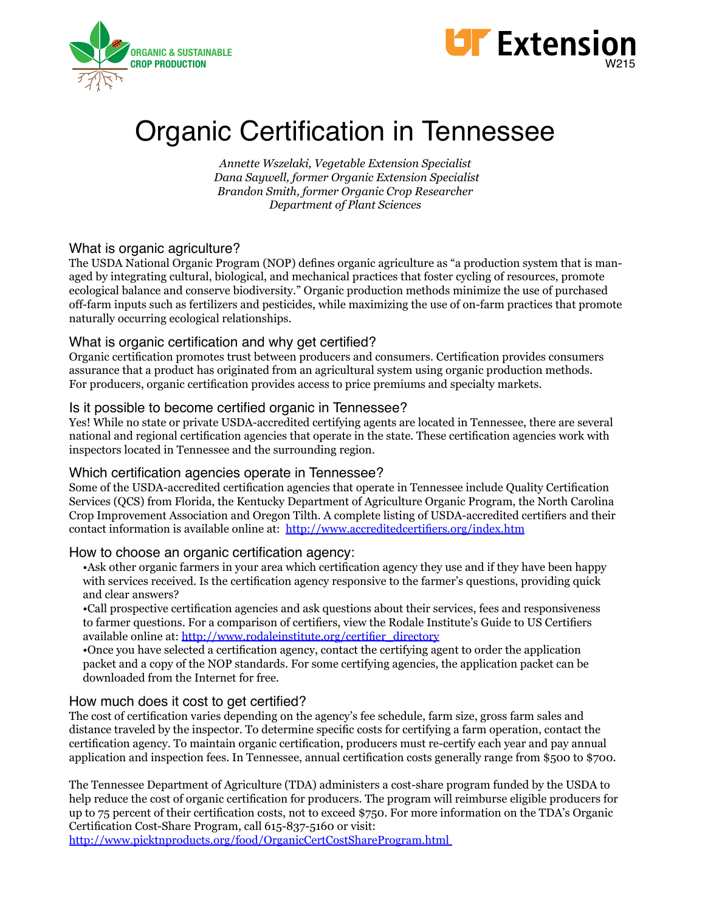



# Organic Certification in Tennessee

*Annette Wszelaki, Vegetable Extension Specialist Dana Saywell, former Organic Extension Specialist Brandon Smith, former Organic Crop Researcher Department of Plant Sciences* 

#### What is organic agriculture?

The USDA National Organic Program (NOP) defines organic agriculture as "a production system that is managed by integrating cultural, biological, and mechanical practices that foster cycling of resources, promote ecological balance and conserve biodiversity." Organic production methods minimize the use of purchased off-farm inputs such as fertilizers and pesticides, while maximizing the use of on-farm practices that promote naturally occurring ecological relationships.

#### What is organic certification and why get certified?

Organic certification promotes trust between producers and consumers. Certification provides consumers assurance that a product has originated from an agricultural system using organic production methods. For producers, organic certification provides access to price premiums and specialty markets.

#### Is it possible to become certified organic in Tennessee?

Yes! While no state or private USDA-accredited certifying agents are located in Tennessee, there are several national and regional certification agencies that operate in the state. These certification agencies work with inspectors located in Tennessee and the surrounding region.

#### Which certification agencies operate in Tennessee?

Some of the USDA-accredited certification agencies that operate in Tennessee include Quality Certification Services (QCS) from Florida, the Kentucky Department of Agriculture Organic Program, the North Carolina Crop Improvement Association and Oregon Tilth. A complete listing of USDA-accredited certifiers and their contact information is available online at: http://www.accreditedcertifiers.org/index.htm

#### How to choose an organic certification agency:

•Ask other organic farmers in your area which certification agency they use and if they have been happy with services received. Is the certification agency responsive to the farmer's questions, providing quick and clear answers?

•Call prospective certification agencies and ask questions about their services, fees and responsiveness to farmer questions. For a comparison of certifiers, view the Rodale Institute's Guide to US Certifiers available online at: http://www.rodaleinstitute.org/certifier\_directory

•Once you have selected a certification agency, contact the certifying agent to order the application packet and a copy of the NOP standards. For some certifying agencies, the application packet can be downloaded from the Internet for free.

## How much does it cost to get certified?

The cost of certification varies depending on the agency's fee schedule, farm size, gross farm sales and distance traveled by the inspector. To determine specific costs for certifying a farm operation, contact the certification agency. To maintain organic certification, producers must re-certify each year and pay annual application and inspection fees. In Tennessee, annual certification costs generally range from \$500 to \$700.

The Tennessee Department of Agriculture (TDA) administers a cost-share program funded by the USDA to help reduce the cost of organic certification for producers. The program will reimburse eligible producers for up to 75 percent of their certification costs, not to exceed \$750. For more information on the TDA's Organic Certification Cost-Share Program, call 615-837-5160 or visit:

http://www.picktnproducts.org/food/OrganicCertCostShareProgram.html